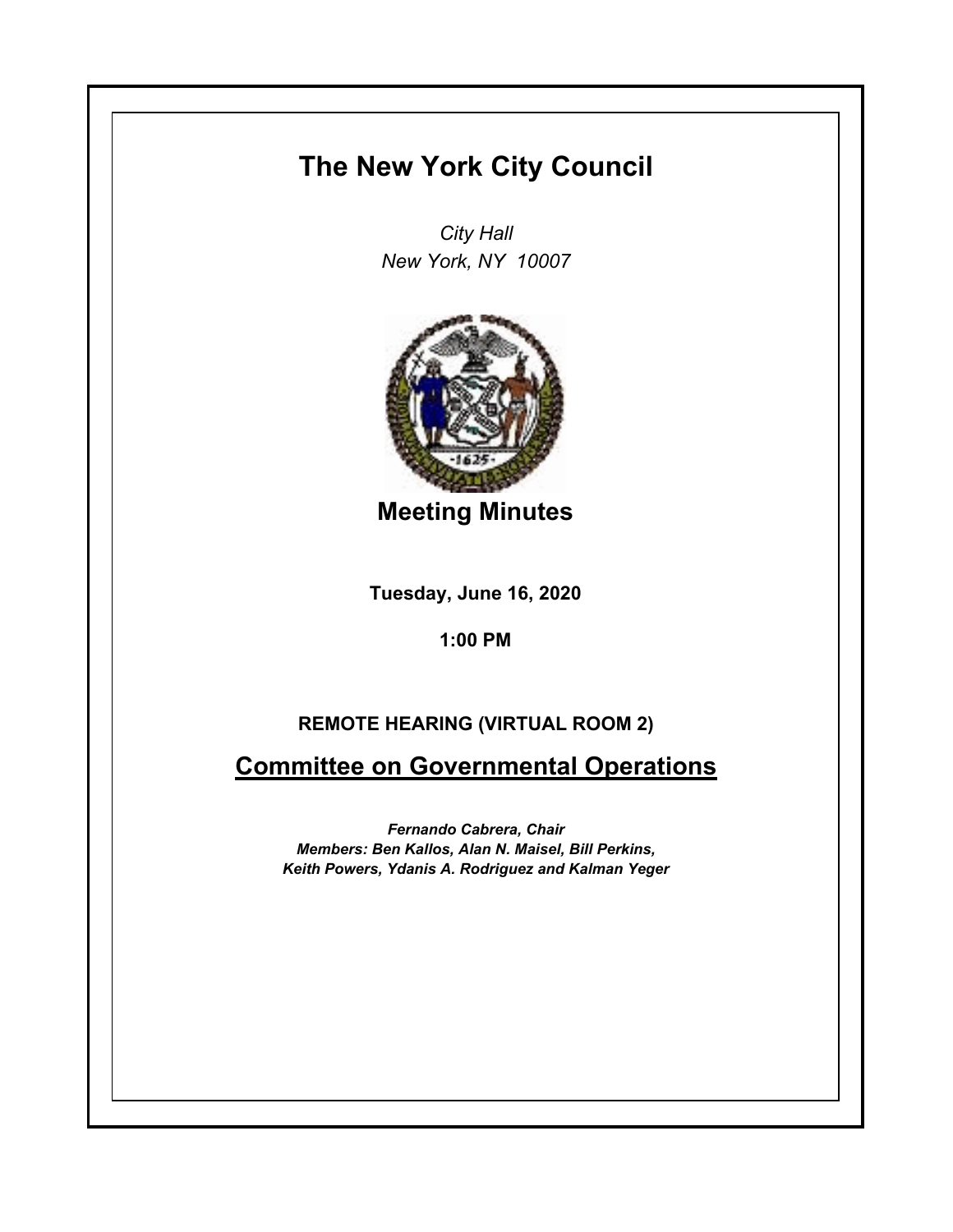## **The New York City Council**

*City Hall New York, NY 10007*



**Meeting Minutes**

**Tuesday, June 16, 2020**

**1:00 PM**

## **REMOTE HEARING (VIRTUAL ROOM 2)**

**Committee on Governmental Operations**

*Fernando Cabrera, Chair Members: Ben Kallos, Alan N. Maisel, Bill Perkins, Keith Powers, Ydanis A. Rodriguez and Kalman Yeger*